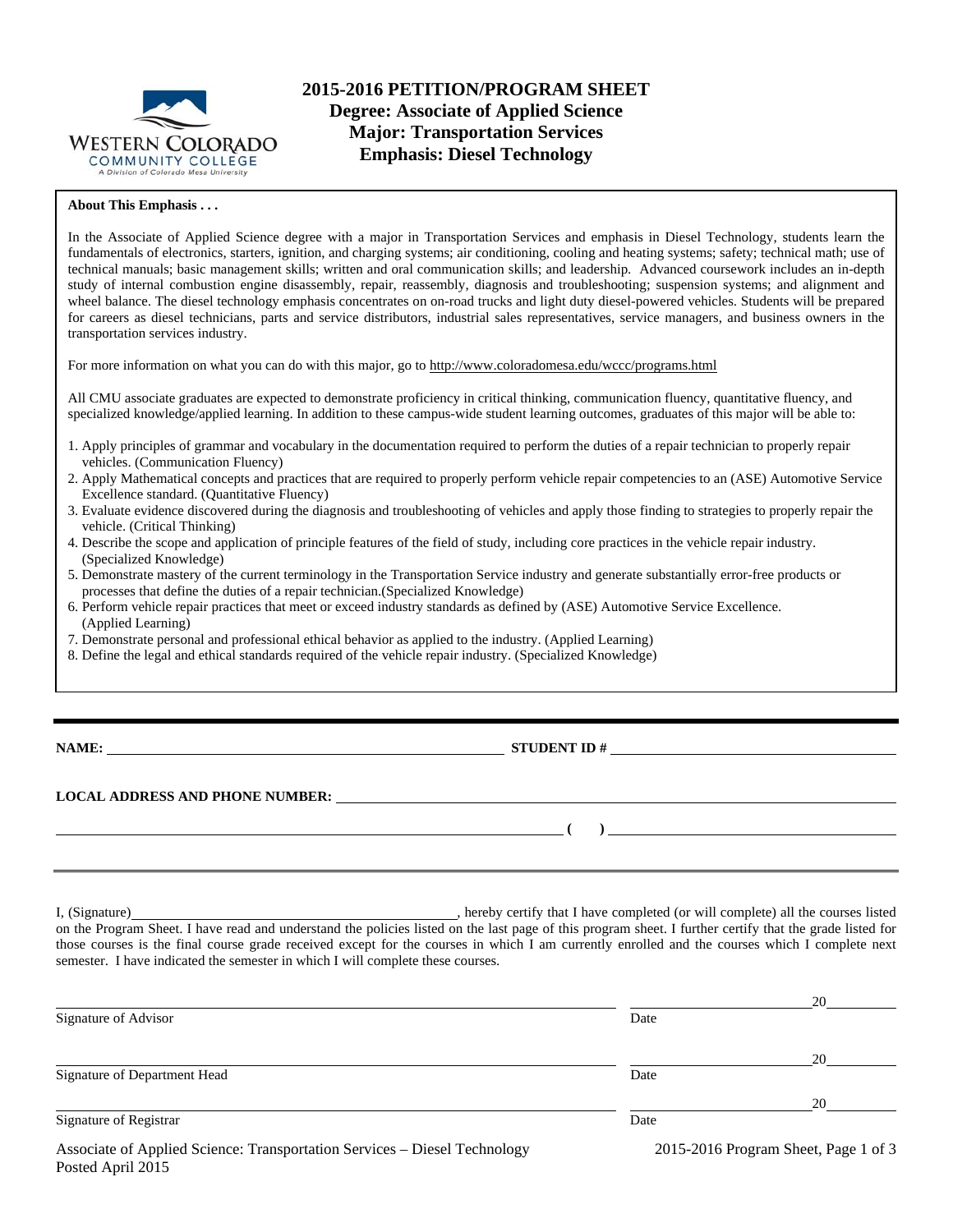

#### **About This Emphasis . . .**

In the Associate of Applied Science degree with a major in Transportation Services and emphasis in Diesel Technology, students learn the fundamentals of electronics, starters, ignition, and charging systems; air conditioning, cooling and heating systems; safety; technical math; use of technical manuals; basic management skills; written and oral communication skills; and leadership. Advanced coursework includes an in-depth study of internal combustion engine disassembly, repair, reassembly, diagnosis and troubleshooting; suspension systems; and alignment and wheel balance. The diesel technology emphasis concentrates on on-road trucks and light duty diesel-powered vehicles. Students will be prepared for careers as diesel technicians, parts and service distributors, industrial sales representatives, service managers, and business owners in the transportation services industry.

For more information on what you can do with this major, go to http://www.coloradomesa.edu/wccc/programs.html

All CMU associate graduates are expected to demonstrate proficiency in critical thinking, communication fluency, quantitative fluency, and specialized knowledge/applied learning. In addition to these campus-wide student learning outcomes, graduates of this major will be able to:

- 1. Apply principles of grammar and vocabulary in the documentation required to perform the duties of a repair technician to properly repair vehicles. (Communication Fluency)
- 2. Apply Mathematical concepts and practices that are required to properly perform vehicle repair competencies to an (ASE) Automotive Service Excellence standard. (Quantitative Fluency)
- 3. Evaluate evidence discovered during the diagnosis and troubleshooting of vehicles and apply those finding to strategies to properly repair the vehicle. (Critical Thinking)
- 4. Describe the scope and application of principle features of the field of study, including core practices in the vehicle repair industry. (Specialized Knowledge)
- 5. Demonstrate mastery of the current terminology in the Transportation Service industry and generate substantially error-free products or processes that define the duties of a repair technician.(Specialized Knowledge)
- 6. Perform vehicle repair practices that meet or exceed industry standards as defined by (ASE) Automotive Service Excellence. (Applied Learning)
- 7. Demonstrate personal and professional ethical behavior as applied to the industry. (Applied Learning)
- 8. Define the legal and ethical standards required of the vehicle repair industry. (Specialized Knowledge)

Posted April 2015

**STUDENT ID #** 

 **( )** 

### **LOCAL ADDRESS AND PHONE NUMBER:**

I, (Signature) **Source 2008** (Signature) **, hereby certify that I have completed** (or will complete) all the courses listed on the Program Sheet. I have read and understand the policies listed on the last page of this program sheet. I further certify that the grade listed for those courses is the final course grade received except for the courses in which I am currently enrolled and the courses which I complete next semester. I have indicated the semester in which I will complete these courses.

|                                                                           |      | 20                                   |
|---------------------------------------------------------------------------|------|--------------------------------------|
| Signature of Advisor                                                      | Date |                                      |
|                                                                           |      | 20                                   |
| Signature of Department Head                                              | Date |                                      |
|                                                                           |      | 20                                   |
| Signature of Registrar                                                    | Date |                                      |
| Associate of Applied Science: Transportation Services – Diesel Technology |      | 2015-2016 Program Sheet, Page 1 of 3 |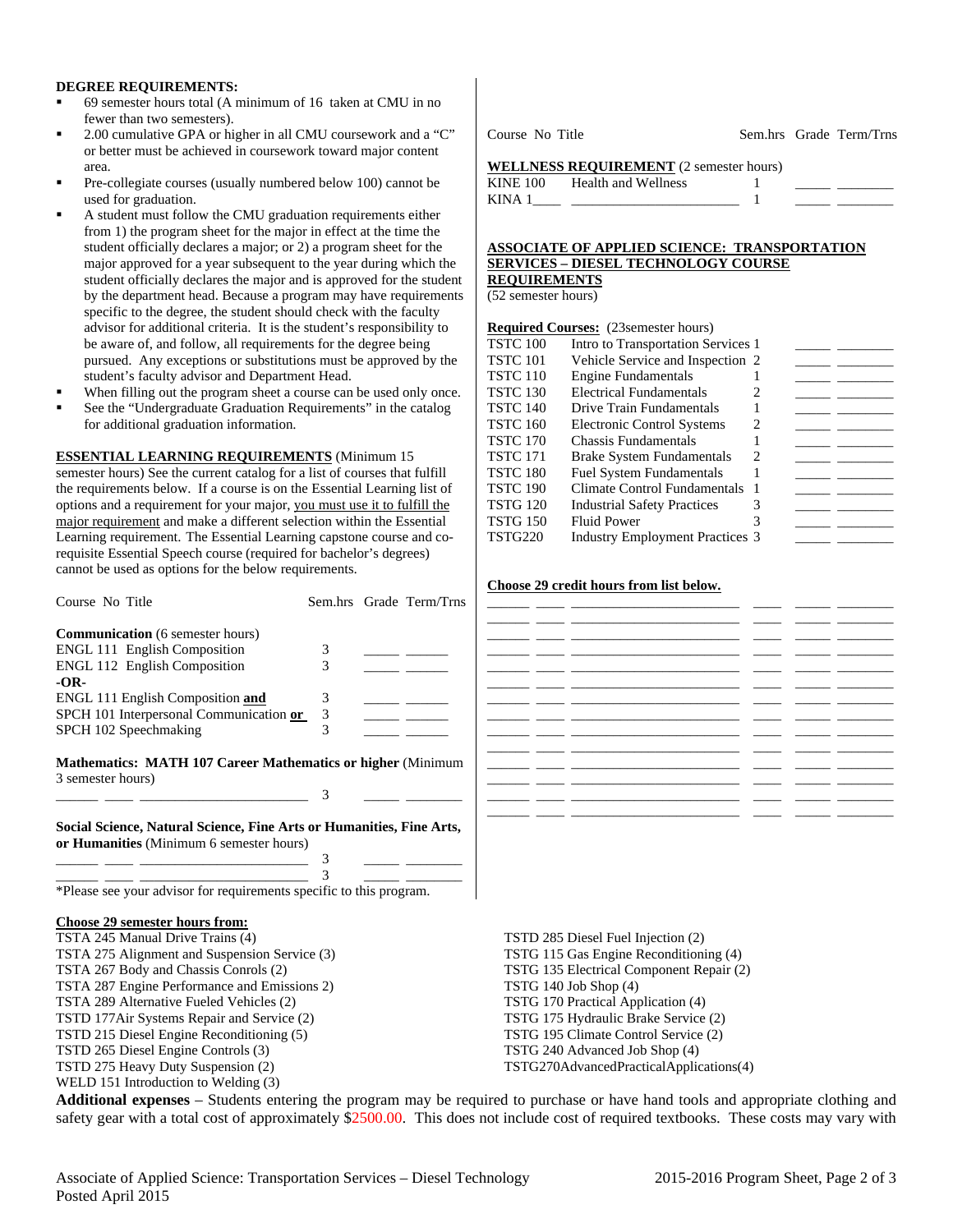#### **DEGREE REQUIREMENTS:**

- 69 semester hours total (A minimum of 16 taken at CMU in no fewer than two semesters).
- 2.00 cumulative GPA or higher in all CMU coursework and a "C" or better must be achieved in coursework toward major content area.
- Pre-collegiate courses (usually numbered below 100) cannot be used for graduation.
- A student must follow the CMU graduation requirements either from 1) the program sheet for the major in effect at the time the student officially declares a major; or 2) a program sheet for the major approved for a year subsequent to the year during which the student officially declares the major and is approved for the student by the department head. Because a program may have requirements specific to the degree, the student should check with the faculty advisor for additional criteria. It is the student's responsibility to be aware of, and follow, all requirements for the degree being pursued. Any exceptions or substitutions must be approved by the student's faculty advisor and Department Head.
- When filling out the program sheet a course can be used only once.
- See the "Undergraduate Graduation Requirements" in the catalog for additional graduation information.

#### **ESSENTIAL LEARNING REQUIREMENTS** (Minimum 15

semester hours) See the current catalog for a list of courses that fulfill the requirements below. If a course is on the Essential Learning list of options and a requirement for your major, you must use it to fulfill the major requirement and make a different selection within the Essential Learning requirement. The Essential Learning capstone course and corequisite Essential Speech course (required for bachelor's degrees) cannot be used as options for the below requirements.

| Course No Title                                                                                            | Sem.hrs Grade Term/Trns |  |                                                       |
|------------------------------------------------------------------------------------------------------------|-------------------------|--|-------------------------------------------------------|
| <b>Communication</b> (6 semester hours)                                                                    |                         |  |                                                       |
| ENGL 111 English Composition                                                                               | 3                       |  |                                                       |
| <b>ENGL 112 English Composition</b>                                                                        | 3                       |  |                                                       |
| $-OR-$                                                                                                     |                         |  |                                                       |
| ENGL 111 English Composition and                                                                           | 3                       |  |                                                       |
| SPCH 101 Interpersonal Communication or                                                                    | 3                       |  | <u> 1989 - John Barn Barn, amerikansk politiker (</u> |
| SPCH 102 Speechmaking                                                                                      | $\overline{3}$          |  |                                                       |
| <b>Mathematics: MATH 107 Career Mathematics or higher (Minimum</b>                                         |                         |  |                                                       |
| 3 semester hours)                                                                                          |                         |  |                                                       |
| $\frac{1}{\sqrt{3}}$ 3                                                                                     |                         |  |                                                       |
| Social Science, Natural Science, Fine Arts or Humanities, Fine Arts,                                       |                         |  |                                                       |
| or Humanities (Minimum 6 semester hours)                                                                   |                         |  |                                                       |
|                                                                                                            |                         |  |                                                       |
|                                                                                                            |                         |  |                                                       |
| *Please see your advisor for requirements specific to this program.                                        |                         |  |                                                       |
|                                                                                                            |                         |  |                                                       |
| <b>Choose 29 semester hours from:</b>                                                                      |                         |  |                                                       |
| TSTA 245 Manual Drive Trains (4)                                                                           |                         |  |                                                       |
| TSTA 275 Alignment and Suspension Service (3)                                                              |                         |  |                                                       |
| TSTA 267 Body and Chassis Conrols (2)                                                                      |                         |  |                                                       |
| TSTA 287 Engine Performance and Emissions 2)                                                               |                         |  |                                                       |
| TSTA 289 Alternative Fueled Vehicles (2)                                                                   |                         |  |                                                       |
| TSTD 177Air Systems Repair and Service (2)                                                                 |                         |  |                                                       |
| TSTD 215 Diesel Engine Reconditioning (5)                                                                  |                         |  |                                                       |
| $TCTD$ $\Delta \zeta \zeta$ $D_{i}^{t}$ and $D_{i}^{t}$ and $D_{i}^{t}$ and $D_{i}^{t}$ and $\Delta \zeta$ |                         |  |                                                       |

TSTD 265 Diesel Engine Controls (3)

TSTD 275 Heavy Duty Suspension (2)

WELD 151 Introduction to Welding (3)

Course No Title Sem.hrs Grade Term/Trns

#### **WELLNESS REQUIREMENT** (2 semester hours)

| <b>KINE 100</b> | Health and Wellness |  |
|-----------------|---------------------|--|
| KINA            |                     |  |

## **ASSOCIATE OF APPLIED SCIENCE: TRANSPORTATION SERVICES – DIESEL TECHNOLOGY COURSE**

**REQUIREMENTS** (52 semester hours)

#### **Required Courses:** (23semester hours)

| <b>TSTC 100</b> | Intro to Transportation Services 1     |   |  |
|-----------------|----------------------------------------|---|--|
| <b>TSTC 101</b> | Vehicle Service and Inspection 2       |   |  |
| <b>TSTC 110</b> | <b>Engine Fundamentals</b>             |   |  |
| <b>TSTC 130</b> | <b>Electrical Fundamentals</b>         |   |  |
| <b>TSTC 140</b> | Drive Train Fundamentals               |   |  |
| <b>TSTC 160</b> | <b>Electronic Control Systems</b>      | 2 |  |
| <b>TSTC 170</b> | <b>Chassis Fundamentals</b>            |   |  |
| <b>TSTC 171</b> | Brake System Fundamentals              | 2 |  |
| <b>TSTC 180</b> | <b>Fuel System Fundamentals</b>        |   |  |
| <b>TSTC 190</b> | Climate Control Fundamentals           |   |  |
| <b>TSTG 120</b> | <b>Industrial Safety Practices</b>     |   |  |
| <b>TSTG 150</b> | <b>Fluid Power</b>                     |   |  |
| <b>TSTG220</b>  | <b>Industry Employment Practices 3</b> |   |  |
|                 |                                        |   |  |

#### **Choose 29 credit hours from list below.**

| ___<br>_ _ | $\overline{\phantom{a}}$                 |                          |                         |
|------------|------------------------------------------|--------------------------|-------------------------|
|            |                                          |                          |                         |
|            |                                          |                          |                         |
|            | <u> The Common State Common Sta</u>      |                          |                         |
|            |                                          |                          | the control of the con- |
|            |                                          |                          |                         |
|            | the contract of the contract of the con- |                          |                         |
|            |                                          |                          |                         |
|            |                                          |                          |                         |
|            |                                          |                          |                         |
|            |                                          |                          |                         |
|            |                                          | $\overline{\phantom{a}}$ |                         |
|            |                                          |                          |                         |
|            |                                          |                          |                         |

TSTD 285 Diesel Fuel Injection (2) TSTG 115 Gas Engine Reconditioning (4) TSTG 135 Electrical Component Repair (2) TSTG 140 Job Shop (4) TSTG 170 Practical Application (4) TSTG 175 Hydraulic Brake Service (2) TSTG 195 Climate Control Service (2) TSTG 240 Advanced Job Shop (4) TSTG270AdvancedPracticalApplications(4)

**Additional expenses** – Students entering the program may be required to purchase or have hand tools and appropriate clothing and safety gear with a total cost of approximately \$2500.00. This does not include cost of required textbooks. These costs may vary with